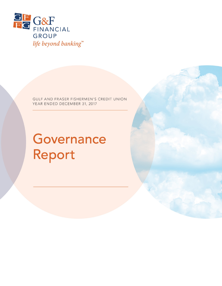

GULF AND FRASER FISHERMEN'S CREDIT UNION YEAR ENDED DECEMBER 31, 2017

# Governance Report

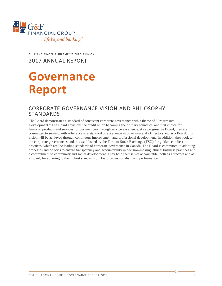

GULF AND FRASER FISHERMEN'S CREDIT UNION 2017 ANNUAL REPORT

## **Governance Report**

## CORPORATE GOVERNANCE VISION AND PHILOSOPHY STANDARDS

The Board demonstrates a standard of consistent corporate governance with a theme of "Progressive Development." The Board envisions the credit union becoming the primary source of, and first choice for, financial products and services for our members through service excellence. As a progressive Board, they are committed to serving with adherence to a standard of excellence in governance. As Directors and as a Board, this vision will be achieved through continuous improvement and professional development. In addition, they look to the corporate governance standards established by the Toronto Stock Exchange (TSX) for guidance in best practices, which are the leading standards of corporate governance in Canada. The Board is committed to adopting processes and policies to ensure transparency and accountability in decision-making, ethical business practices and a commitment to community and social development. They hold themselves accountable, both as Directors and as a Board, for adhering to the highest standards of Board professionalism and performance.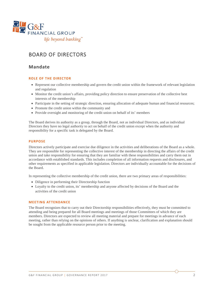

## BOARD OF DIRECTORS

### **Mandate**

#### **ROLE OF THE DIRECTOR**

- Represent our collective membership and govern the credit union within the framework of relevant legislation and regulation
- Monitor the credit union's affairs, providing policy direction to ensure preservation of the collective best interests of the membership
- Participate in the setting of strategic direction, ensuring allocation of adequate human and financial resources;
- Promote the credit union within the community and
- Provide oversight and monitoring of the credit union on behalf of its' members

The Board derives its authority as a group, through the Board, not as individual Directors, and as individual Directors they have no legal authority to act on behalf of the credit union except when the authority and responsibility for a specific task is delegated by the Board.

#### **PURPOSE**

Directors actively participate and exercise due diligence in the activities and deliberations of the Board as a whole. They are responsible for representing the collective interest of the membership in directing the affairs of the credit union and take responsibility for ensuring that they are familiar with these responsibilities and carry them out in accordance with established standards. This includes completion of all information requests and disclosures, and other requirements as specified in applicable legislation. Directors are individually accountable for the decisions of the Board.

In representing the collective membership of the credit union, there are two primary areas of responsibilities:

- Diligence in performing their Directorship function
- Loyalty to the credit union, its' membership and anyone affected by decisions of the Board and the activities of the credit union

#### **MEETING ATTENDANCE**

The Board recognizes that to carry out their Directorship responsibilities effectively, they must be committed to attending and being prepared for all Board meetings and meetings of those Committees of which they are members. Directors are expected to review all meeting material and prepare for meetings in advance of each meeting, rather than relying on the opinions of others. If anything is unclear, clarification and explanation should be sought from the applicable resource person prior to the meeting.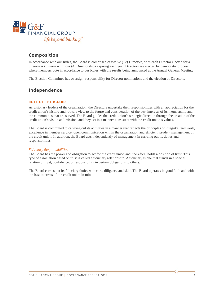

## **Composition**

In accordance with our Rules, the Board is comprised of twelve (12) Directors, with each Director elected for a three-year (3) term with four (4) Directorships expiring each year. Directors are elected by democratic process where members vote in accordance to our Rules with the results being announced at the Annual General Meeting.

The Election Committee has oversight responsibility for Director nominations and the election of Directors.

## **Independence**

#### **ROLE OF THE BOARD**

As visionary leaders of the organization, the Directors undertake their responsibilities with an appreciation for the credit union's history and roots, a view to the future and consideration of the best interests of its membership and the communities that are served. The Board guides the credit union's strategic direction through the creation of the credit union's vision and mission, and they act in a manner consistent with the credit union's values.

The Board is committed to carrying out its activities in a manner that reflects the principles of integrity, teamwork, excellence in member service, open communication within the organization and efficient, prudent management of the credit union**.** In addition, the Board acts independently of management in carrying out its duties and responsibilities.

#### *Fiduciary Responsibilities*

The Board has the power and obligation to act for the credit union and, therefore, holds a position of trust. This type of association based on trust is called a fiduciary relationship. A fiduciary is one that stands in a special relation of trust, confidence, or responsibility in certain obligations to others.

The Board carries out its fiduciary duties with care, diligence and skill. The Board operates in good faith and with the best interests of the credit union in mind.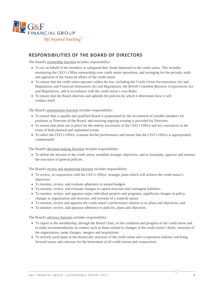

## **RESPONSIBILITIES OF THE BOARD OF DIRECTORS**

The Board's trusteeship function includes responsibility:

- To act on behalf of the members to safeguard their funds deposited in the credit union. This includes monitoring the CEO's Office stewardship over credit union operations, and arranging for the periodic audit and appraisal of the financial affairs of the credit union
- To ensure that the credit union operates within the law, including the C*redit Union Incorporation* Act and Regulations and *Financial Institutions Act and Regulations*, the *British Columbia Business Corporations Act and Regulations*, and in accordance with the credit union's own Rules
- To ensure that the Board observes and upholds the policies by which it determines how it will conduct itself

The Board's perpetuation function includes responsibility:

- To ensure that a capable and qualified Board is perpetuated by the recruitment of suitable members for positions as Directors of the Board, and ensuring ongoing training is provided for Directors
- To ensure that plans are in place for the orderly succession of the CEO's Office and key executives in the event of both planned and unplanned events
- To select the CEO's Office, evaluate his/her performance and ensure that the CEO's Office is appropriately compensated

The Board's decision-making function includes responsibility:

• To define the mission of the credit union, establish strategic objectives, and to formulate, approve and monitor the execution of general policies.

The Board's review and monitoring function includes responsibility:

- To review, in conjunction with the CEO's Office, strategic plans which will achieve the credit union's objectives
- To monitor, review, and evaluate adherence to annual budgets
- To monitor, review, and evaluate changes in capital structure and contingent liabilities
- To monitor, review, and appraise major individual projects and programs, significant changes in policy, changes in organization and structure, and lawsuits of a material nature
- To monitor, review and appraise the credit union's performance relative to its plans and objectives; and
- To monitor, review, and appraise adherence to policies, plans and objectives

The Board's advisory function includes responsibility:

- To report to the membership, through the Board Chair, on the condition and progress of the credit union and to make recommendations on matters such as those related to changes in the credit union's Rules, structure of the organization, name changes, mergers and acquisitions
- To actively participate in the democratic structure of the credit union and co-operative industry and bring forward issues and concerns for the betterment of all credit unions and cooperatives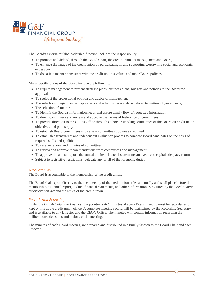

The Board's external/public leadership function includes the responsibility:

- To promote and defend, through the Board Chair, the credit union, its management and Board;
- To enhance the image of the credit union by participating in and supporting worthwhile social and economic endeavours
- To do so in a manner consistent with the credit union's values and other Board policies

More specific duties of the Board include the following:

- To require management to present strategic plans, business plans, budgets and policies to the Board for approval
- To seek out the professional opinion and advice of management
- The selection of legal counsel, appraisers and other professionals as related to matters of governance;
- The selection of auditors
- To identify the Board's information needs and assure timely flow of requested information
- To direct committees and review and approve the Terms of Reference of committees
- To provide direction to the CEO's Office through ad hoc or standing committees of the Board on credit union objectives and philosophy
- To establish Board committees and review committee structure as required
- To establish a transparent and independent evaluation process to compare Board candidates on the basis of required skills and qualities
- To receive reports and minutes of committees
- To review and approve recommendations from committees and management
- To approve the annual report, the annual audited financial statements and year-end capital adequacy return
- Subject to legislative restrictions, delegate any or all of the foregoing duties

#### *Accountability*

The Board is accountable to the membership of the credit union.

The Board shall report directly to the membership of the credit union at least annually and shall place before the membership its annual report, audited financial statements, and other information as required by the *Credit Union Incorporation Act* and the Rules of the credit union.

#### *Records and Reporting*

Under the *British Columbia Business Corporations Act*, minutes of every Board meeting must be recorded and kept on file at the credit union office. A complete meeting record will be maintained by the Recording Secretary and is available to any Director and the CEO's Office. The minutes will contain information regarding the deliberations, decisions and actions of the meeting.

The minutes of each Board meeting are prepared and distributed in a timely fashion to the Board Chair and each Director.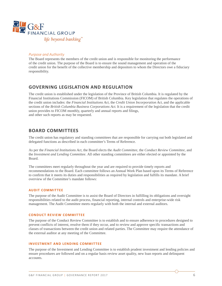

#### *Purpose and Authority*

The Board represents the members of the credit union and is responsible for monitoring the performance of the credit union. The purpose of the Board is to ensure the sound management and operation of the credit union for the benefit of the collective membership and depositors to whom the Directors owe a fiduciary responsibility.

## **GOVERNING LEGISLATION AND REGULATION**

The credit union is established under the legislation of the Province of British Columbia. It is regulated by the Financial Institutions Commission (FICOM) of British Columbia. Key legislation that regulates the operations of the credit union includes: the *Financial Institutions Act,* the *Credit Union Incorporation Act,* and the applicable sections of the *British Columbia Business Corporations Act.* It is a requirement of the legislation that the credit union provides to FICOM monthly, quarterly and annual reports and filings, and other such reports as may be requested.

## **BOARD COMMITTEES**

The credit union has regulatory and standing committees that are responsible for carrying out both legislated and delegated functions as described in each committee's Terms of Reference.

As per the *Financial Institutions Act,* the Board elects the *Audit Committee,* the *Conduct Review Committee*, and the *Investment and Lending Committee*. All other standing committees are either elected or appointed by the Board.

The committees meet regularly throughout the year and are required to provide timely reports and recommendations to the Board. Each committee follows an Annual Work Plan based upon its Terms of Reference to confirm that it meets its duties and responsibilities as required by legislation and fulfills its mandate. A brief overview of the Committee's mandate follows:

#### **AUDIT COMMITTEE**

The purpose of the Audit Committee is to assist the Board of Directors in fulfilling its obligations and oversight responsibilities related to the audit process, financial reporting, internal controls and enterprise-wide risk management. The Audit Committee meets regularly with both the internal and external auditors.

#### **CONDUCT REVIEW COMMITTEE**

The purpose of the Conduct Review Committee is to establish and to ensure adherence to procedures designed to prevent conflicts of interest, resolve them if they occur, and to review and approve specific transactions and classes of transactions between the credit union and related parties. The Committee may require the attendance of the external auditor at any meeting of the Committee.

#### **INVESTMENT AND LENDING COMMITTEE**

The purpose of the Investment and Lending Committee is to establish prudent investment and lending policies and ensure procedures are followed and on a regular basis review asset quality, new loan reports and delinquent accounts.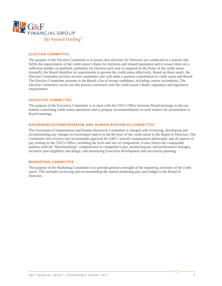

#### **ELECTION COMMITTEE**

The purpose of the Election Committee is to ensure that elections for Directors are conducted in a manner that fulfils the requirements of the credit union's Rules for elections and related legislation and to ensure there are a sufficient number of qualified candidates for election each year as required by the Rules of the credit union. Annually, the Board identifies its requirements to govern the credit union effectively. Based on these needs, the Election Committee actively recruits candidates who will make a positive contribution to credit union and Board. The Election Committee presents to the Board a list of strong candidates, including current incumbents. The Election Committee carries out this process consistent with the credit union's Rules, regulatory and legislative requirements.

#### **EXECUTIVE COMMITTEE**

The purpose of the Executive Committee is to meet with the CEO's Office between Board meetings to discuss matters concerning credit union operations and to prepare recommendations on such matters for presentation at Board meetings.

#### **GOVERNANCE/COMPENSATION AND HUMAN RESOURCES COMMITTEE**

The Governance/Compensation and Human Resources Committee is charged with reviewing, developing and recommending any changes to Governance and/or to the By-laws of the credit union to the Board of Directors. The Committee also reviews and recommends approval for G&F's overall compensation philosophy and all aspects of pay relating to the CEO's Office, including the level and mix of components. It also selects the comparable markets used for "benchmarking" compensation to competitor's pay, monitoring pay and performance linkages, incentive plan eligibility and design, and monitoring Executive development and succession planning.

#### **MARKETING COMMITTEE**

The purpose of the Marketing Committee is to provide general oversight of the marketing activities of the credit union. This includes reviewing and recommending the annual marketing plan and budget to the Board of Directors.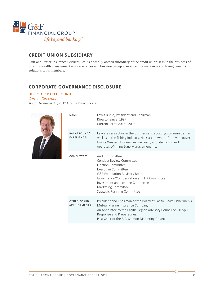

## **CREDIT UNION SUBSIDIARY**

Gulf and Fraser Insurance Services Ltd. is a wholly owned subsidiary of the credit union. It is in the business of offering wealth management advice services and business group insurance, life insurance and living benefits solutions to its members.

## **CORPORATE GOVERNANCE DISCLOSURE**

#### DIRECTOR BACKGROUND

*Current Directors* As of December 31, 2017 G&F's Directors are:



| NAME:                                     | Lewis Bublé, President and Chairman<br>Director Since: 1997<br>Current Term: 2015 - 2018                                                                                                                                                                                       |
|-------------------------------------------|--------------------------------------------------------------------------------------------------------------------------------------------------------------------------------------------------------------------------------------------------------------------------------|
| <b>BACKGROUND/</b><br>EXPERIENCE:         | Lewis is very active in the business and sporting communities, as<br>well as in the fishing industry. He is a co-owner of the Vancouver<br>Giants Western Hockey League team, and also owns and<br>operates Winning Edge Management Inc.                                       |
| COMMITTEES:                               | Audit Committee<br>Conduct Review Committee<br><b>Flection Committee</b><br>Executive Committee<br>G&F Foundation Advisory Board<br>Governance/Compensation and HR Committee<br>Investment and Lending Committee<br>Marketing Committee<br><b>Strategic Planning Committee</b> |
| <b>OTHER BOARD</b><br><b>APPOINTMENTS</b> | President and Chairman of the Board of Pacific Coast Fishermen's<br>Mutual Marine Insurance Company<br>An Appointee to the Pacific Region Advisory Council on Oil Spill<br>Response and Preparedness<br>Past Chair of the B.C. Salmon Marketing Council                        |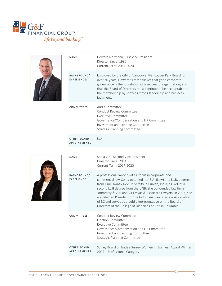

| NAME:                      | Howard Normann, First Vice President<br>Director Since: 1996<br>Current Term: 2017-2020                                                                                                                                                                                                                                              |
|----------------------------|--------------------------------------------------------------------------------------------------------------------------------------------------------------------------------------------------------------------------------------------------------------------------------------------------------------------------------------|
| BACKGROUND/<br>EXPERIENCE: | Employed by the City of Vancouver/Vancouver Park Board for<br>over 36 years, Howard firmly believes that good corporate<br>governance is the foundation of a successful organization, and<br>that the Board of Directors must continue to be accountable to<br>the membership by showing strong leadership and business<br>judgment. |
| COMMITTEES:                | Audit Committee<br>Conduct Review Committee<br>Executive Committee<br>Governance/Compensation and HR Committee<br>Investment and Lending Committee<br>Strategic Planning Committee                                                                                                                                                   |

OTHER BOARD APPOINTMENTS N/A



| $NAMF$ :                                 | Sonia Virk, Second Vice President<br>Director Since: 2014<br>Current Term: 2017-2020                                                                                                                                                                                                                                                                                                                                                                                                                                       |
|------------------------------------------|----------------------------------------------------------------------------------------------------------------------------------------------------------------------------------------------------------------------------------------------------------------------------------------------------------------------------------------------------------------------------------------------------------------------------------------------------------------------------------------------------------------------------|
| <b>BACKGROUND/</b><br><b>EXPERIENCE:</b> | A professional lawyer with a focus in corporate and<br>commercial law, Sonia obtained her B.A. (Law) and LL.B. degrees<br>from Guru Nanak Dev University in Punjab, India, as well as a<br>second LL.B degree from the UNB. She co-founded law firms<br>Joomratty & Virk and Virk Viyas & Associate Lawyers. In 2007, she<br>was elected President of the Indo Canadian Business Association<br>of BC and serves as a public representative on the Board of<br>Directors of the College of Dieticians of British Columbia. |
| COMMITTEES:                              | Conduct Review Committee<br><b>Election Committee</b><br>Executive Committee<br>Governance/Compensation and HR Committee<br>Investment and Lending Committee<br><b>Strategic Planning Committee</b>                                                                                                                                                                                                                                                                                                                        |
| OTHER BOARD<br><b>APPOINTMENTS</b>       | Surrey Board of Trade's Surrey Women in Business Award Winner<br>2017 – Professional Category                                                                                                                                                                                                                                                                                                                                                                                                                              |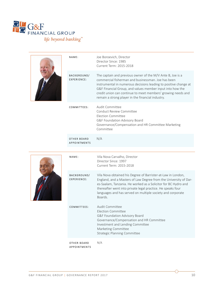



|  | NAME:                                     | Joe Boroevich, Director<br>Director Since: 1985<br>Current Term: 2015-2018                                                                                                                                                                                                                                                                                             |
|--|-------------------------------------------|------------------------------------------------------------------------------------------------------------------------------------------------------------------------------------------------------------------------------------------------------------------------------------------------------------------------------------------------------------------------|
|  | <b>BACKGROUND/</b><br><b>EXPERIENCE:</b>  | The captain and previous owner of the M/V Ante B, Joe is a<br>commercial fisherman and businessman. Joe has been<br>instrumental in numerous decisions leading to positive change at<br>G&F Financial Group, and values member input into how the<br>credit union can continue to meet members' growing needs and<br>remain a strong player in the financial industry. |
|  | COMMITTEES:                               | Audit Committee<br>Conduct Review Committee<br>Election Committee<br>G&F Foundation Advisory Board<br>Governance/Compensation and HR Committee Marketing<br>Committee                                                                                                                                                                                                  |
|  | <b>OTHER BOARD</b><br><b>APPOINTMENTS</b> | N/A                                                                                                                                                                                                                                                                                                                                                                    |
|  |                                           |                                                                                                                                                                                                                                                                                                                                                                        |



| $NAMF$ :                                  | Vila Nova Carvalho, Director<br>Director Since: 1997<br>Current Term: 2015-2018                                                                                                                                                                                                                                                            |
|-------------------------------------------|--------------------------------------------------------------------------------------------------------------------------------------------------------------------------------------------------------------------------------------------------------------------------------------------------------------------------------------------|
| <b>BACKGROUND/</b><br><b>EXPERIENCE:</b>  | Vila Nova obtained his Degree of Barrister-at-Law in London,<br>England, and a Masters of Law Degree from the University of Dar-<br>es-Saalam, Tanzania. He worked as a Solicitor for BC Hydro and<br>thereafter went into private legal practice. He speaks four<br>languages and has served on multiple society and corporate<br>Boards. |
| COMMITTEES:                               | Audit Committee<br><b>Election Committee</b><br><b>G&amp;F Foundation Advisory Board</b><br>Governance/Compensation and HR Committee<br>Investment and Lending Committee<br>Marketing Committee<br>Strategic Planning Committee                                                                                                            |
| <b>OTHER BOARD</b><br><b>APPOINTMENTS</b> | N/A                                                                                                                                                                                                                                                                                                                                        |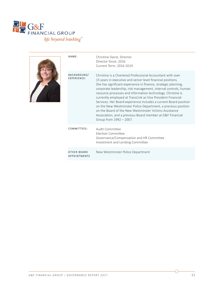

| NAME:                                    | Christine Dacre, Director<br>Director Since: 2016<br>Current Term: 2016-2019                                                                                                                                                                                                                                                                                                                                                                                                                                                                                                                                                                                                        |
|------------------------------------------|-------------------------------------------------------------------------------------------------------------------------------------------------------------------------------------------------------------------------------------------------------------------------------------------------------------------------------------------------------------------------------------------------------------------------------------------------------------------------------------------------------------------------------------------------------------------------------------------------------------------------------------------------------------------------------------|
| <b>BACKGROUND/</b><br><b>EXPERIENCE:</b> | Christine is a Chartered Professional Accountant with over<br>15 years in executive and senior level financial positions.<br>She has significant experience in finance, strategic planning,<br>corporate leadership, risk management, internal controls, human<br>resource processes and information technology. Christine is<br>currently employed at TransLink as Vice President Financial<br>Services. Her Board experience includes a current Board position<br>on the New Westminster Police Department, a previous position<br>on the Board of the New Westminster Victims Assistance<br>Association, and a previous Board member at G&F Financial<br>Group from 1992 - 2007. |
| COMMITTEES:                              | Audit Committee<br><b>Election Committee</b><br>Governance/Compensation and HR Committee<br>Investment and Lending Committee                                                                                                                                                                                                                                                                                                                                                                                                                                                                                                                                                        |
| OTHER BOARD<br><b>APPOINTMENTS</b>       | New Westminster Police Department                                                                                                                                                                                                                                                                                                                                                                                                                                                                                                                                                                                                                                                   |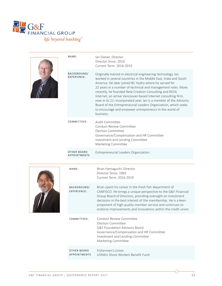

| NAME:                                     | Ian Daniel, Director<br>Director Since: 2016<br>Current Term: 2016-2019                                                                                                                                                                                                                                                                                                                                                                                                                                                                                                                                       |
|-------------------------------------------|---------------------------------------------------------------------------------------------------------------------------------------------------------------------------------------------------------------------------------------------------------------------------------------------------------------------------------------------------------------------------------------------------------------------------------------------------------------------------------------------------------------------------------------------------------------------------------------------------------------|
| <b>BACKGROUND/</b><br>EXPERIENCE:         | Originally trained in electrical engineering technology, Ian<br>worked in several countries in the Middle East, India and South<br>America. He later joined BC Hydro where he served for<br>22 years in a number of technical and management roles. More<br>recently, he founded New Creation Consulting and NCOL<br>Internet, an active Vancouver-based Internet consulting firm,<br>now in its 21 <sup>st</sup> incorporated year. Ian is a member of the Advisory<br>Board of the Entrepreneurial Leaders Organization, which seeks<br>to encourage and empower entrepreneurs in the world of<br>business. |
| COMMITTEES:                               | Audit Committee<br>Conduct Review Committee<br><b>Election Committee</b><br>Governance/Compensation and HR Committee<br>Investment and Lending Committee<br>Marketing Committee                                                                                                                                                                                                                                                                                                                                                                                                                               |
| <b>OTHER BOARD</b><br><b>APPOINTMENTS</b> | Entrepreneurial Leaders Organization                                                                                                                                                                                                                                                                                                                                                                                                                                                                                                                                                                          |
|                                           |                                                                                                                                                                                                                                                                                                                                                                                                                                                                                                                                                                                                               |
| NAME:                                     | Brian Hamaguchi, Director<br>Director Since: 1983<br>Current Term: 2016-2019                                                                                                                                                                                                                                                                                                                                                                                                                                                                                                                                  |
| <b>BACKGROUND/</b><br><b>EXPERIENCE:</b>  | Brian spent his career in the fresh fish department of<br>CANFISCO. He brings a unique perspective to the G&F Financial<br>Group Board of Directors, providing oversight on investment<br>decisions in the best interest of the membership. He is a keen<br>proponent of high quality member service and continues to<br>endorse improvements and innovations within the credit union.                                                                                                                                                                                                                        |
| COMMITTEES:                               | Conduct Review Committee<br><b>Election Committee</b><br>G&F Foundation Advisory Board<br>Governance/Compensation and HR Committee<br>Investment and Lending Committee<br>Marketing Committee                                                                                                                                                                                                                                                                                                                                                                                                                 |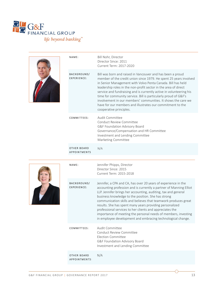



| NAME:                                     | Bill Nohr, Director<br>Director Since: 2011<br>Current Term: 2017-2020                                                                                                                                                                                                                                                                                                                                                                                                                                                                                                |
|-------------------------------------------|-----------------------------------------------------------------------------------------------------------------------------------------------------------------------------------------------------------------------------------------------------------------------------------------------------------------------------------------------------------------------------------------------------------------------------------------------------------------------------------------------------------------------------------------------------------------------|
| <b>BACKGROUND/</b><br><b>EXPERIENCE:</b>  | Bill was born and raised in Vancouver and has been a proud<br>member of the credit union since 1979. He spent 25 years involved<br>in Senior Management with Volvo Penta Canada. Bill has held<br>leadership roles in the non-profit sector in the area of direct<br>service and fundraising and is currently active in volunteering his<br>time for community service. Bill is particularly proud of G&F's<br>involvement in our members' communities. It shows the care we<br>have for our members and illustrates our commitment to the<br>cooperative principles. |
| COMMITTEES:                               | Audit Committee<br>Conduct Review Committee<br>G&F Foundation Advisory Board<br>Governance/Compensation and HR Committee<br>Investment and Lending Committee<br>Marketing Committee                                                                                                                                                                                                                                                                                                                                                                                   |
| <b>OTHER BOARD</b><br><b>APPOINTMENTS</b> | N/A                                                                                                                                                                                                                                                                                                                                                                                                                                                                                                                                                                   |
|                                           |                                                                                                                                                                                                                                                                                                                                                                                                                                                                                                                                                                       |



| NAME:                                      | Jennifer Phipps, Director<br>Director Since: 2015<br>Current Term: 2015-2018                                                                                                                                                                                                                                                                                                                                                                                                                                                                                                            |
|--------------------------------------------|-----------------------------------------------------------------------------------------------------------------------------------------------------------------------------------------------------------------------------------------------------------------------------------------------------------------------------------------------------------------------------------------------------------------------------------------------------------------------------------------------------------------------------------------------------------------------------------------|
| <b>BACKGROUND/</b><br><b>EXPERIENCE:</b>   | Jennifer, a CPA and CA, has over 20 years of experience in the<br>accounting profession and is currently a partner of Manning Elliot<br>LLP. Jennifer brings her accounting, auditing, tax and general<br>business knowledge to the position. She has strong<br>communication skills and believes that teamwork produces great<br>results. She has spent many years providing personalized<br>professional services to her clients and appreciates the<br>importance of meeting the personal needs of members, investing<br>in employee development and embracing technological change. |
| COMMITTEES:                                | Audit Committee<br><b>Conduct Review Committee</b><br>Election Committee<br>G&F Foundation Advisory Board<br>Investment and Lending Committee                                                                                                                                                                                                                                                                                                                                                                                                                                           |
| <b>OTHER BOARD</b><br><b>APPOINTMENTS:</b> | N/A                                                                                                                                                                                                                                                                                                                                                                                                                                                                                                                                                                                     |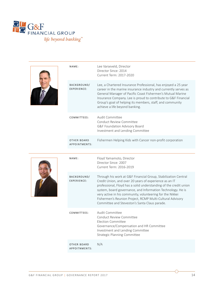

| NAME:                                      | Lee Varseveld, Director<br>Director Since: 2014<br>Current Term: 2017-2020                                                                                                                                                                                                                                                                                                                                                              |
|--------------------------------------------|-----------------------------------------------------------------------------------------------------------------------------------------------------------------------------------------------------------------------------------------------------------------------------------------------------------------------------------------------------------------------------------------------------------------------------------------|
| <b>BACKGROUND/</b><br><b>EXPERIENCE:</b>   | Lee, a Chartered Insurance Professional, has enjoyed a 25 year<br>career in the marine insurance industry and currently serves as<br>General Manager of Pacific Coast Fishermen's Mutual Marine<br>Insurance Company. Lee is proud to contribute to G&F Financial<br>Group's goal of helping its members, staff, and community<br>achieve a life beyond banking.                                                                        |
| COMMITTEES:                                | Audit Committee<br>Conduct Review Committee<br>G&F Foundation Advisory Board<br>Investment and Lending Committee                                                                                                                                                                                                                                                                                                                        |
| <b>OTHER BOARD</b><br><b>APPOINTMENTS:</b> | Fishermen Helping Kids with Cancer non-profit corporation                                                                                                                                                                                                                                                                                                                                                                               |
|                                            |                                                                                                                                                                                                                                                                                                                                                                                                                                         |
|                                            |                                                                                                                                                                                                                                                                                                                                                                                                                                         |
| NAME:                                      | Floyd Yamamoto, Director<br>Director Since: 2007<br>Current Term: 2016-2019                                                                                                                                                                                                                                                                                                                                                             |
| <b>BACKGROUND/</b><br><b>EXPERIENCE:</b>   | Through his work at G&F Financial Group, Stabilization Central<br>Credit Union, and over 20 years of experience as an IT<br>professional, Floyd has a solid understanding of the credit union<br>system, board governance, and Information Technology. He is<br>very active in his community, volunteering for the Nikkei<br>Fishermen's Reunion Project, RCMP Multi-Cultural Advisory<br>Committee and Steveston's Santa Claus parade. |
| COMMITTEES:                                | <b>Audit Committee</b><br>Conduct Review Committee<br><b>Election Committee</b><br>Governance/Compensation and HR Committee<br>Investment and Lending Committee<br><b>Strategic Planning Committee</b>                                                                                                                                                                                                                                  |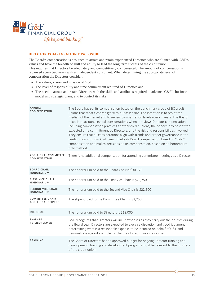

#### **DIRECTOR COMPENSATION DISCLOSURE**

The Board's compensation is designed to attract and retain experienced Directors who are aligned with G&F's values and have the breadth of skill and ability to lead the long term success of the credit union. This requires that Directors be adequately and competitively compensated. The amount of compensation is reviewed every two years with an independent consultant. When determining the appropriate level of compensation the Directors consider:

- The values, vision and mission of G&F
- The level of responsibility and time commitment required of Directors and
- The need to attract and retain Directors with the skills and attributes required to advance G&F's business model and strategic plans, and to control its risks

| ANNUAL<br><b>COMPENSATION</b>                       | The Board has set its compensation based on the benchmark group of BC credit<br>unions that most closely align with our asset size. The intention is to pay at the<br>median of the market and to review compensation levels every 2 years. The Board<br>takes into account several considerations when it reviews Director compensation,<br>including compensation practices at other credit unions, the opportunity cost of the<br>expected time commitment by Directors, and the risk and responsibilities involved.<br>They ensure that all considerations align with trends and proper governance in the<br>credit union industry. G&F benchmarks its Board compensation based on "total"<br>compensation and makes decisions on its compensation, based on an honorarium<br>only method. |
|-----------------------------------------------------|------------------------------------------------------------------------------------------------------------------------------------------------------------------------------------------------------------------------------------------------------------------------------------------------------------------------------------------------------------------------------------------------------------------------------------------------------------------------------------------------------------------------------------------------------------------------------------------------------------------------------------------------------------------------------------------------------------------------------------------------------------------------------------------------|
| <b>ADDITIONAL COMMITTEE</b><br><b>COMPENSATION</b>  | There is no additional compensation for attending committee meetings as a Director.                                                                                                                                                                                                                                                                                                                                                                                                                                                                                                                                                                                                                                                                                                            |
| <b>BOARD CHAIR</b><br>HONORARIUM                    | The honorarium paid to the Board Chair is \$30,375                                                                                                                                                                                                                                                                                                                                                                                                                                                                                                                                                                                                                                                                                                                                             |
| <b>FIRST VICE CHAIR</b><br>HONORARIUM               | The honorarium paid to the First Vice Chair is \$24,750                                                                                                                                                                                                                                                                                                                                                                                                                                                                                                                                                                                                                                                                                                                                        |
| <b>SECOND VICE CHAIR</b><br>HONORARIUM              | The honorarium paid to the Second Vice Chair is \$22,500                                                                                                                                                                                                                                                                                                                                                                                                                                                                                                                                                                                                                                                                                                                                       |
| <b>COMMITTEE CHAIR</b><br><b>ADDITIONAL STIPEND</b> | The stipend paid to the Committee Chair is \$2,250                                                                                                                                                                                                                                                                                                                                                                                                                                                                                                                                                                                                                                                                                                                                             |
| <b>DIRECTOR</b>                                     | The honorarium paid to Directors is \$18,000                                                                                                                                                                                                                                                                                                                                                                                                                                                                                                                                                                                                                                                                                                                                                   |
| <b>EXPENSE</b><br>REIMBURSEMENT                     | G&F recognizes that Directors will incur expenses as they carry out their duties during<br>the Board year. Directors are expected to exercise discretion and good judgment in<br>determining what is a reasonable expense to be incurred on behalf of G&F and<br>demonstrate a good example for the use of credit union resources.                                                                                                                                                                                                                                                                                                                                                                                                                                                             |
| <b>TRAINING</b>                                     | The Board of Directors has an approved budget for ongoing Director training and<br>development. Training and development programs must be relevant to the business<br>of the credit union.                                                                                                                                                                                                                                                                                                                                                                                                                                                                                                                                                                                                     |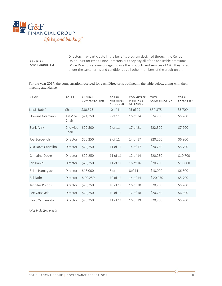

|                                    | Directors may participate in the benefits program designed through the Central      |
|------------------------------------|-------------------------------------------------------------------------------------|
| <b>BENEFITS</b><br>AND PERQUISITES | Union Trust for credit union Directors but they pay all of the applicable premiums. |
|                                    | While Directors are encouraged to use the products and services of G&F they do so   |
|                                    | under the same terms and conditions as all other members of the credit union.       |

For the year 2017, the compensation received for each Director is outlined in the table below, along with their meeting attendance.

| <b>NAME</b>        | ROLES             | ANNUAL<br>COMPENSATION | <b>BOARD</b><br><b>MEETINGS</b><br>ATTENDED | COMMITTEE<br><b>MEETINGS</b><br>ATTENDED | <b>TOTAL</b><br>COMPENSATION | <b>TOTAL</b><br><b>EXPENSES1</b> |
|--------------------|-------------------|------------------------|---------------------------------------------|------------------------------------------|------------------------------|----------------------------------|
| Lewis Bublé        | Chair             | \$30,375               | 10 of 11                                    | 25 of 27                                 | \$30,375                     | \$5,700                          |
| Howard Normann     | 1st Vice<br>Chair | \$24,750               | 9 of 11                                     | 16 of 24                                 | \$24,750                     | \$5,700                          |
| Sonia Virk         | 2nd Vice<br>Chair | \$22,500               | 9 of 11                                     | 17 of 21                                 | \$22,500                     | \$7,900                          |
| Joe Boroevich      | Director          | \$20,250               | 9 of 11                                     | 14 of 17                                 | \$20,250                     | \$6,900                          |
| Vila Nova Carvalho | Director          | \$20,250               | 11 of 11                                    | 14 of 17                                 | \$20,250                     | \$5,700                          |
| Christine Dacre    | Director          | \$20,250               | 11 of 11                                    | 12 of 14                                 | \$20,250                     | \$10,700                         |
| lan Daniel         | Director          | \$20,250               | 11 of 11                                    | 16 of 16                                 | \$20,250                     | \$11,000                         |
| Brian Hamaguchi    | Director          | \$18,000               | 8 of 11                                     | 8of 11                                   | \$18,000                     | \$6,500                          |
| <b>Bill Nohr</b>   | Director          | \$20,250               | 10 of 11                                    | 14 of 14                                 | \$20,250                     | \$5,700                          |
| Jennifer Phipps    | Director          | \$20,250               | 10 of 11                                    | 16 of 20                                 | \$20,250                     | \$5,700                          |
| Lee Varseveld      | Director          | \$20,250               | 10 of 11                                    | 17 of 18                                 | \$20,250                     | \$6,800                          |
| Floyd Yamamoto     | Director          | \$20,250               | 11 of 11                                    | 16 of 19                                 | \$20,250                     | \$5,700                          |

*1Not including meals*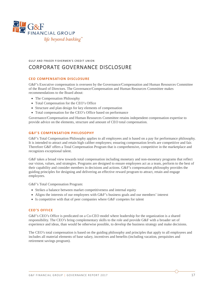

## GULF AND FRASER FISHERMEN'S CREDIT UNION CORPORATE GOVERNANCE DISCLOSURE

#### **CEO COMPENSATION DISCLOSURE**

G&F's Executive compensation is overseen by the Governance/Compensation and Human Resources Committee of the Board of Directors. The Governance/Compensation and Human Resources Committee makes recommendations to the Board about:

- The Compensation Philosophy
- Total Compensation for the CEO's Office
- Structure and plan design for key elements of compensation
- Total compensation for the CEO's Office based on performance

Governance/Compensation and Human Resources Committee retains independent compensation expertise to provide advice on the elements, structure and amount of CEO total compensation.

#### **G&F'S COMPENSATION PHILOSOPHY**

G&F's Total Compensation Philosophy applies to all employees and is based on a pay for performance philosophy. It is intended to attract and retain high caliber employees; ensuring compensation levels are competitive and fair. Therefore G&F offers a Total Compensation Program that is comprehensive, competitive in the marketplace and recognizes exceptional talent.

G&F takes a broad view towards total compensation including monetary and non-monetary programs that reflect our vision, values, and strategies. Programs are designed to ensure employees act as a team, perform to the best of their capability and consider members in decisions and actions. G&F's compensation philosophy provides the guiding principles for designing and delivering an effective reward program to attract, retain and engage employees.

G&F's Total Compensation Program:

- Strikes a balance between market competitiveness and internal equity
- Aligns the interests of our employees with G&F's business goals and our members' interest
- Is competitive with that of peer companies where G&F competes for talent

#### **CEO'S OFFICE**

G&F's CEO's Office is predicated on a Co-CEO model where leadership for the organization is a shared responsibility. The CEO's bring complementary skills to the role and provide G&F with a broader set of experience and ideas, than would be otherwise possible, to develop the business strategy and make decisions.

The CEO's total compensation is based on the guiding philosophy and principles that apply to all employees and includes all material elements of base salary, incentives and benefits (including vacation, perquisites and retirement savings program).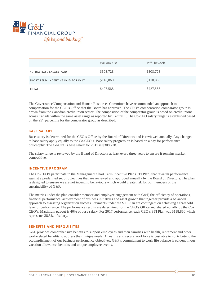

|                                    | William Kiss | Jeff Shewfelt |
|------------------------------------|--------------|---------------|
| ACTUAL BASE SALARY PAID            | \$308,728    | \$308,728     |
| SHORT TERM INCENTIVE PAID FOR FY17 | \$118,860    | \$118,860     |
| <b>TOTAL</b>                       | \$427,588    | \$427,588     |

The Governance/Compensation and Human Resources Committee have recommended an approach to compensation for the CEO's Office that the Board has approved. The CEO's compensation comparator group is drawn from the Canadian credit union sector. The composition of the comparator group is based on credit unions across Canada within the same asset range as reported by Central 1. The Co-CEO salary range is established based on the  $25<sup>th</sup>$  percentile for the comparator group as described.

#### **BASE SALARY**

Base salary is determined for the CEO's Office by the Board of Directors and is reviewed annually. Any changes to base salary apply equally to the Co-CEO's. Base salary progression is based on a pay for performance philosophy. The Co-CEO's base salary for 2017 is \$308,728.

The salary range is reviewed by the Board of Directors at least every three years to ensure it remains market competitive.

#### **INCENTIVE PROGRAM**

The Co-CEO's participate in the Management Short Term Incentive Plan (STI Plan) that rewards performance against a predefined set of objectives that are reviewed and approved annually by the Board of Directors. The plan is designed to ensure we are not incenting behaviours which would create risk for our members or the sustainability of G&F.

The metrics under the plan consider member and employee engagement with G&F, the efficiency of operations, financial performance, achievement of business initiatives and asset growth that together provide a balanced approach to assessing organization success. Payments under the STI Plan are contingent on achieving a threshold level of performance. The performance results are determined for the CEO's Office and shared equally by the Co-CEO's. Maximum payout is 40% of base salary. For 2017 performance, each CEO's STI Plan was \$118,860 which represents 38.5% of salary.

#### **BENEFITS AND PERQUISITES**

G&F provides comprehensive benefits to support employees and their families with health, retirement and other work-related benefits to address their unique needs. A healthy and secure workforce is best able to contribute to the accomplishment of our business performance objectives. G&F's commitment to work life balance is evident in our vacation allowance, benefits and unique employee events.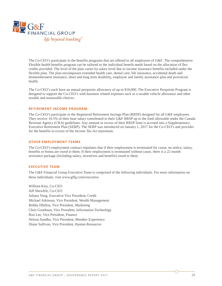

The Co-CEO's participate in the benefits programs that are offered to all employees of G&F. The comprehensive Flexible health benefits program can be tailored to the individual benefit needs based on the allocation of flex credits provided. The level of the plan varies by salary level due to income insurance benefits included under the flexible plan. The plan encompasses extended health care, dental care, life insurance, accidental death and dismemberment insurance, short and long term disability, employee and family assistance plan and provincial health.

The Co-CEO's each have an annual perquisite allowance of up to \$18,000. The Executive Perquisite Program is designed to support the Co-CEO's with business related expenses such as a taxable vehicle allowance and other taxable and nontaxable choices.

#### **RETIREMENT INCOME PROGRAM**

The Co-CEO's participate in the Registered Retirement Savings Plan (RRSP) designed for all G&F employees. They receive 10.5% of their base salary contributed to their G&F RRSP up to the limit allowable under the Canada Revenue Agency (CRA) guidelines. Any amount in excess of their RRSP limit is accrued into a Supplementary Executive Retirement Plan (SERP). The SERP was introduced on January 1, 2017 for the Co-CEO's and provides for the benefits in excess of the *Income Tax Act* maximum.

#### **OTHER EMPLOYMENT TERMS**

The Co-CEO's employment contract stipulates that if their employment is terminated for cause, no notice, salary, benefits or bonus are owed to them. If their employment is terminated without cause, there is a 22 month severance package (including salary, incentives and benefits) owed to them.

#### **EXECUTIVE TEAM**

The G&F Financial Group Executive Team is comprised of the following individuals. For more information on these individuals, visit www.gffg.com/executive.

William Kiss, Co-CEO Jeff Shewfelt, Co-CEO Juliana Yung, Executive Vice President, Credit Michael Atkinson, Vice President, Wealth Management Bobby Dhillon, Vice President, Marketing Chris Goodman, Vice President, Information Technology Ron Lee, Vice President, Finance Nelson Sandhu, Vice President, Member Experience Diane Sullivan, Vice President, Human Resources